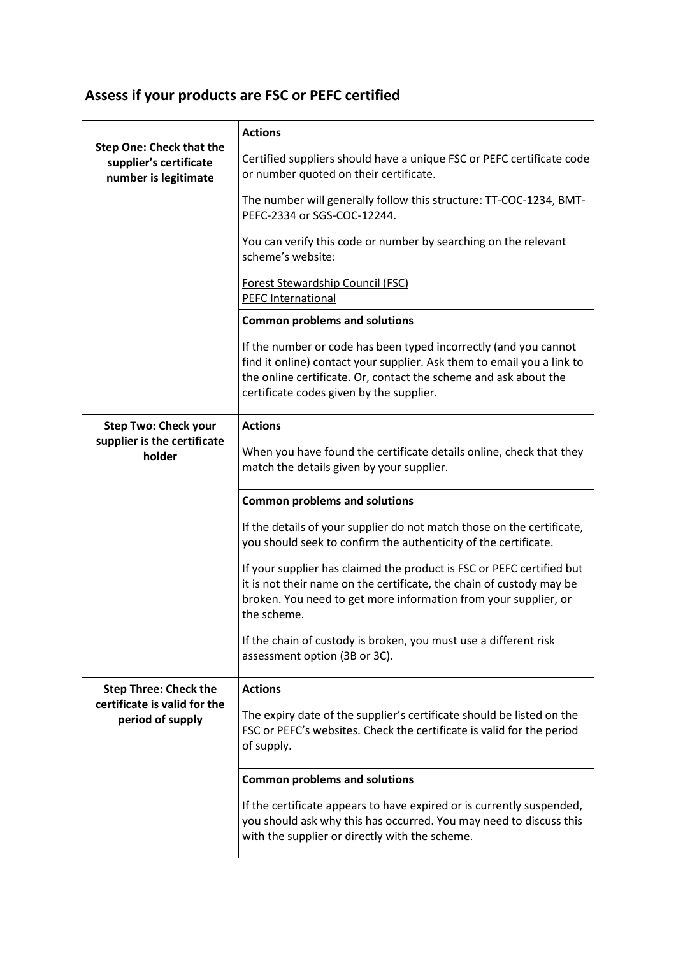## **Assess if your products are FSC or PEFC certified**

|                                                                                   | <b>Actions</b>                                                                                                                                                                                                                                             |
|-----------------------------------------------------------------------------------|------------------------------------------------------------------------------------------------------------------------------------------------------------------------------------------------------------------------------------------------------------|
| <b>Step One: Check that the</b><br>supplier's certificate<br>number is legitimate | Certified suppliers should have a unique FSC or PEFC certificate code<br>or number quoted on their certificate.                                                                                                                                            |
|                                                                                   | The number will generally follow this structure: TT-COC-1234, BMT-<br>PEFC-2334 or SGS-COC-12244.                                                                                                                                                          |
|                                                                                   | You can verify this code or number by searching on the relevant<br>scheme's website:                                                                                                                                                                       |
|                                                                                   | <b>Forest Stewardship Council (FSC)</b><br><b>PEFC International</b>                                                                                                                                                                                       |
|                                                                                   | <b>Common problems and solutions</b>                                                                                                                                                                                                                       |
|                                                                                   | If the number or code has been typed incorrectly (and you cannot<br>find it online) contact your supplier. Ask them to email you a link to<br>the online certificate. Or, contact the scheme and ask about the<br>certificate codes given by the supplier. |
| <b>Step Two: Check your</b><br>supplier is the certificate<br>holder              | <b>Actions</b>                                                                                                                                                                                                                                             |
|                                                                                   | When you have found the certificate details online, check that they<br>match the details given by your supplier.                                                                                                                                           |
|                                                                                   | <b>Common problems and solutions</b>                                                                                                                                                                                                                       |
|                                                                                   | If the details of your supplier do not match those on the certificate,<br>you should seek to confirm the authenticity of the certificate.                                                                                                                  |
|                                                                                   | If your supplier has claimed the product is FSC or PEFC certified but<br>it is not their name on the certificate, the chain of custody may be<br>broken. You need to get more information from your supplier, or<br>the scheme.                            |
|                                                                                   | If the chain of custody is broken, you must use a different risk<br>assessment option (3B or 3C).                                                                                                                                                          |
| <b>Step Three: Check the</b><br>certificate is valid for the<br>period of supply  | <b>Actions</b>                                                                                                                                                                                                                                             |
|                                                                                   | The expiry date of the supplier's certificate should be listed on the<br>FSC or PEFC's websites. Check the certificate is valid for the period<br>of supply.                                                                                               |
|                                                                                   | <b>Common problems and solutions</b>                                                                                                                                                                                                                       |
|                                                                                   | If the certificate appears to have expired or is currently suspended,<br>you should ask why this has occurred. You may need to discuss this<br>with the supplier or directly with the scheme.                                                              |